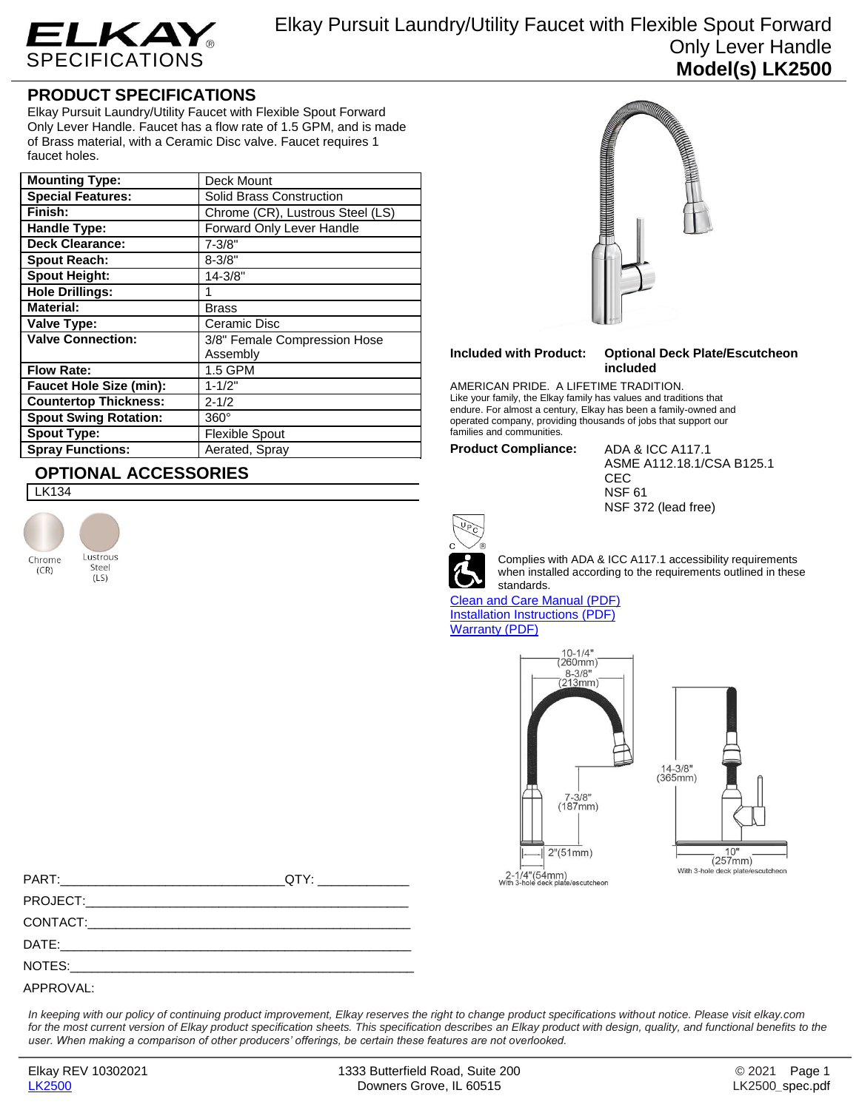

Elkay Pursuit Laundry/Utility Faucet with Flexible Spout Forward Only Lever Handle **Model(s) LK2500**

## **PRODUCT SPECIFICATIONS**

Elkay Pursuit Laundry/Utility Faucet with Flexible Spout Forward Only Lever Handle. Faucet has a flow rate of 1.5 GPM, and is made of Brass material, with a Ceramic Disc valve. Faucet requires 1 faucet holes.

| <b>Mounting Type:</b>          | Deck Mount                       |
|--------------------------------|----------------------------------|
| <b>Special Features:</b>       | <b>Solid Brass Construction</b>  |
| Finish:                        | Chrome (CR), Lustrous Steel (LS) |
| Handle Type:                   | Forward Only Lever Handle        |
| <b>Deck Clearance:</b>         | $7 - 3/8"$                       |
| <b>Spout Reach:</b>            | $8 - 3/8"$                       |
| <b>Spout Height:</b>           | 14-3/8"                          |
| <b>Hole Drillings:</b>         |                                  |
| <b>Material:</b>               | <b>Brass</b>                     |
| <b>Valve Type:</b>             | Ceramic Disc                     |
| <b>Valve Connection:</b>       | 3/8" Female Compression Hose     |
|                                | Assembly                         |
| <b>Flow Rate:</b>              | 1.5 GPM                          |
| <b>Faucet Hole Size (min):</b> | $1 - 1/2"$                       |
| <b>Countertop Thickness:</b>   | $2 - 1/2$                        |
| <b>Spout Swing Rotation:</b>   | $360^\circ$                      |
| <b>Spout Type:</b>             | <b>Flexible Spout</b>            |
| <b>Spray Functions:</b>        | Aerated, Spray                   |

## **OPTIONAL ACCESSORIES**

LK134





## **Included with Product: Optional Deck Plate/Escutcheon included**

AMERICAN PRIDE. A LIFETIME TRADITION. Like your family, the Elkay family has values and traditions that endure. For almost a century, Elkay has been a family-owned and operated company, providing thousands of jobs that support our families and communities.

**Product Compliance:** ADA & ICC A117.1

ASME A112.18.1/CSA B125.1 **CEC** NSF 61 NSF 372 (lead free)



Complies with ADA & ICC A117.1 accessibility requirements when installed according to the requirements outlined in these standards.

[Clean and Care Manual \(PDF\)](http://www.elkayfiles.com/care-cleaning-install-warranty-sheets/1000005365.pdf) [Installation Instructions \(PDF\)](http://www.elkayfiles.com/care-cleaning-install-warranty-sheets/lk2500%20-%20install%20sheet.pdf) [Warranty](http://www.elkayfiles.com/care-cleaning-install-warranty-sheets/1000005132.pdf) (PDF)





| QTY: ________________ |
|-----------------------|
|                       |
|                       |
|                       |
|                       |
|                       |

*In keeping with our policy of continuing product improvement, Elkay reserves the right to change product specifications without notice. Please visit elkay.com for the most current version of Elkay product specification sheets. This specification describes an Elkay product with design, quality, and functional benefits to the user. When making a comparison of other producers' offerings, be certain these features are not overlooked.*